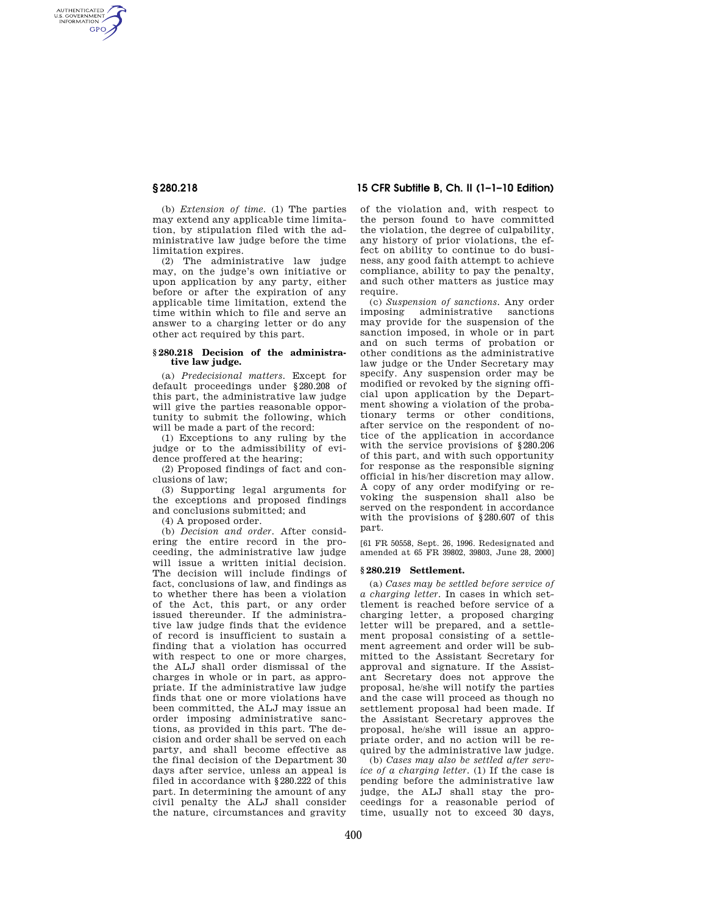AUTHENTICATED<br>U.S. GOVERNMENT<br>INFORMATION **GPO** 

> (b) *Extension of time.* (1) The parties may extend any applicable time limitation, by stipulation filed with the administrative law judge before the time limitation expires.

> (2) The administrative law judge may, on the judge's own initiative or upon application by any party, either before or after the expiration of any applicable time limitation, extend the time within which to file and serve an answer to a charging letter or do any other act required by this part.

#### **§ 280.218 Decision of the administrative law judge.**

(a) *Predecisional matters.* Except for default proceedings under §280.208 of this part, the administrative law judge will give the parties reasonable opportunity to submit the following, which will be made a part of the record:

(1) Exceptions to any ruling by the judge or to the admissibility of evidence proffered at the hearing;

(2) Proposed findings of fact and conclusions of law;

(3) Supporting legal arguments for the exceptions and proposed findings and conclusions submitted; and

(4) A proposed order.

(b) *Decision and order.* After considering the entire record in the proceeding, the administrative law judge will issue a written initial decision. The decision will include findings of fact, conclusions of law, and findings as to whether there has been a violation of the Act, this part, or any order issued thereunder. If the administrative law judge finds that the evidence of record is insufficient to sustain a finding that a violation has occurred with respect to one or more charges, the ALJ shall order dismissal of the charges in whole or in part, as appropriate. If the administrative law judge finds that one or more violations have been committed, the ALJ may issue an order imposing administrative sanctions, as provided in this part. The decision and order shall be served on each party, and shall become effective as the final decision of the Department 30 days after service, unless an appeal is filed in accordance with §280.222 of this part. In determining the amount of any civil penalty the ALJ shall consider the nature, circumstances and gravity

# **§ 280.218 15 CFR Subtitle B, Ch. II (1–1–10 Edition)**

of the violation and, with respect to the person found to have committed the violation, the degree of culpability, any history of prior violations, the effect on ability to continue to do business, any good faith attempt to achieve compliance, ability to pay the penalty, and such other matters as justice may require.

(c) *Suspension of sanctions.* Any order imposing administrative sanctions may provide for the suspension of the sanction imposed, in whole or in part and on such terms of probation or other conditions as the administrative law judge or the Under Secretary may specify. Any suspension order may be modified or revoked by the signing official upon application by the Department showing a violation of the probationary terms or other conditions, after service on the respondent of notice of the application in accordance with the service provisions of §280.206 of this part, and with such opportunity for response as the responsible signing official in his/her discretion may allow. A copy of any order modifying or revoking the suspension shall also be served on the respondent in accordance with the provisions of §280.607 of this part.

[61 FR 50558, Sept. 26, 1996. Redesignated and amended at 65 FR 39802, 39803, June 28, 2000]

### **§ 280.219 Settlement.**

(a) *Cases may be settled before service of a charging letter.* In cases in which settlement is reached before service of a charging letter, a proposed charging letter will be prepared, and a settlement proposal consisting of a settlement agreement and order will be submitted to the Assistant Secretary for approval and signature. If the Assistant Secretary does not approve the proposal, he/she will notify the parties and the case will proceed as though no settlement proposal had been made. If the Assistant Secretary approves the proposal, he/she will issue an appropriate order, and no action will be required by the administrative law judge.

(b) *Cases may also be settled after service of a charging letter.* (1) If the case is pending before the administrative law judge, the ALJ shall stay the proceedings for a reasonable period of time, usually not to exceed 30 days,